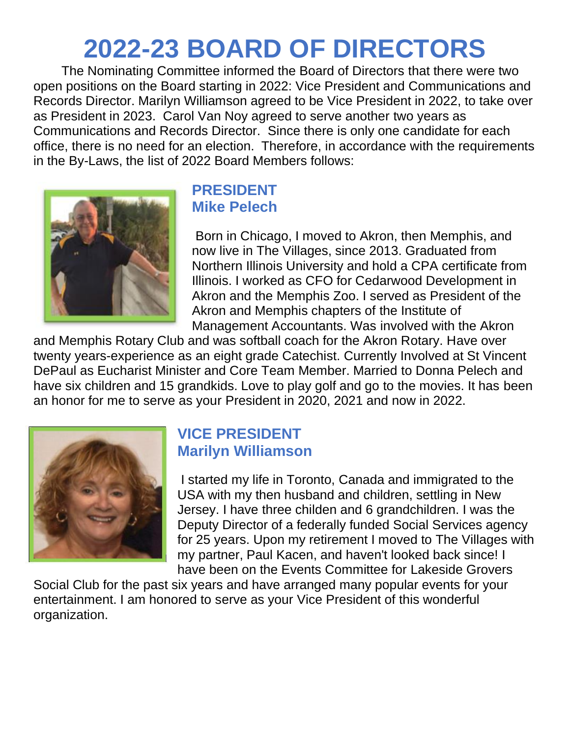# **2022-23 BOARD OF DIRECTORS**

 The Nominating Committee informed the Board of Directors that there were two open positions on the Board starting in 2022: Vice President and Communications and Records Director. Marilyn Williamson agreed to be Vice President in 2022, to take over as President in 2023. Carol Van Noy agreed to serve another two years as Communications and Records Director. Since there is only one candidate for each office, there is no need for an election. Therefore, in accordance with the requirements in the By-Laws, the list of 2022 Board Members follows:



## **PRESIDENT Mike Pelech**

Born in Chicago, I moved to Akron, then Memphis, and now live in The Villages, since 2013. Graduated from Northern Illinois University and hold a CPA certificate from Illinois. I worked as CFO for Cedarwood Development in Akron and the Memphis Zoo. I served as President of the Akron and Memphis chapters of the Institute of Management Accountants. Was involved with the Akron

and Memphis Rotary Club and was softball coach for the Akron Rotary. Have over twenty years-experience as an eight grade Catechist. Currently Involved at St Vincent DePaul as Eucharist Minister and Core Team Member. Married to Donna Pelech and have six children and 15 grandkids. Love to play golf and go to the movies. It has been an honor for me to serve as your President in 2020, 2021 and now in 2022.



### **VICE PRESIDENT Marilyn Williamson**

I started my life in Toronto, Canada and immigrated to the USA with my then husband and children, settling in New Jersey. I have three childen and 6 grandchildren. I was the Deputy Director of a federally funded Social Services agency for 25 years. Upon my retirement I moved to The Villages with my partner, Paul Kacen, and haven't looked back since! I have been on the Events Committee for Lakeside Grovers

Social Club for the past six years and have arranged many popular events for your entertainment. I am honored to serve as your Vice President of this wonderful organization.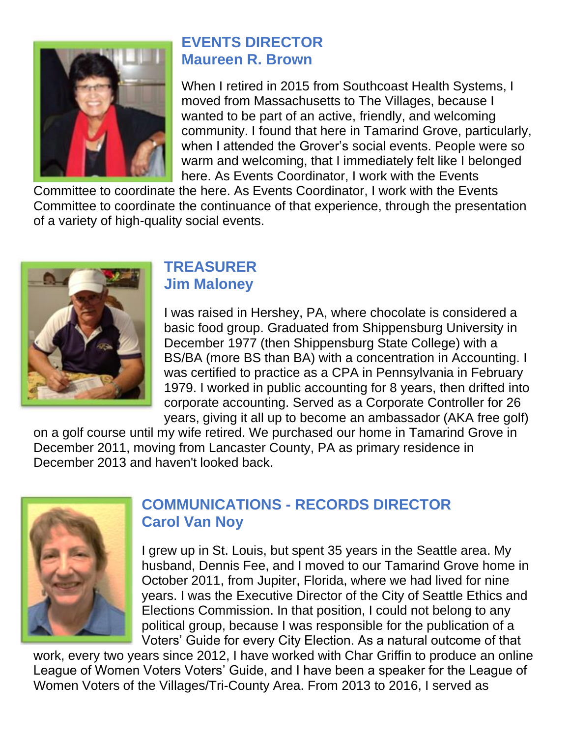

# **EVENTS DIRECTOR Maureen R. Brown**

When I retired in 2015 from Southcoast Health Systems, I moved from Massachusetts to The Villages, because I wanted to be part of an active, friendly, and welcoming community. I found that here in Tamarind Grove, particularly, when I attended the Grover's social events. People were so warm and welcoming, that I immediately felt like I belonged here. As Events Coordinator, I work with the Events

Committee to coordinate the here. As Events Coordinator, I work with the Events Committee to coordinate the continuance of that experience, through the presentation of a variety of high-quality social events.



#### **TREASURER Jim Maloney**

I was raised in Hershey, PA, where chocolate is considered a basic food group. Graduated from Shippensburg University in December 1977 (then Shippensburg State College) with a BS/BA (more BS than BA) with a concentration in Accounting. I was certified to practice as a CPA in Pennsylvania in February 1979. I worked in public accounting for 8 years, then drifted into corporate accounting. Served as a Corporate Controller for 26 years, giving it all up to become an ambassador (AKA free golf)

on a golf course until my wife retired. We purchased our home in Tamarind Grove in December 2011, moving from Lancaster County, PA as primary residence in December 2013 and haven't looked back.



# **COMMUNICATIONS - RECORDS DIRECTOR Carol Van Noy**

I grew up in St. Louis, but spent 35 years in the Seattle area. My husband, Dennis Fee, and I moved to our Tamarind Grove home in October 2011, from Jupiter, Florida, where we had lived for nine years. I was the Executive Director of the City of Seattle Ethics and Elections Commission. In that position, I could not belong to any political group, because I was responsible for the publication of a Voters' Guide for every City Election. As a natural outcome of that

work, every two years since 2012, I have worked with Char Griffin to produce an online League of Women Voters Voters' Guide, and I have been a speaker for the League of Women Voters of the Villages/Tri-County Area. From 2013 to 2016, I served as